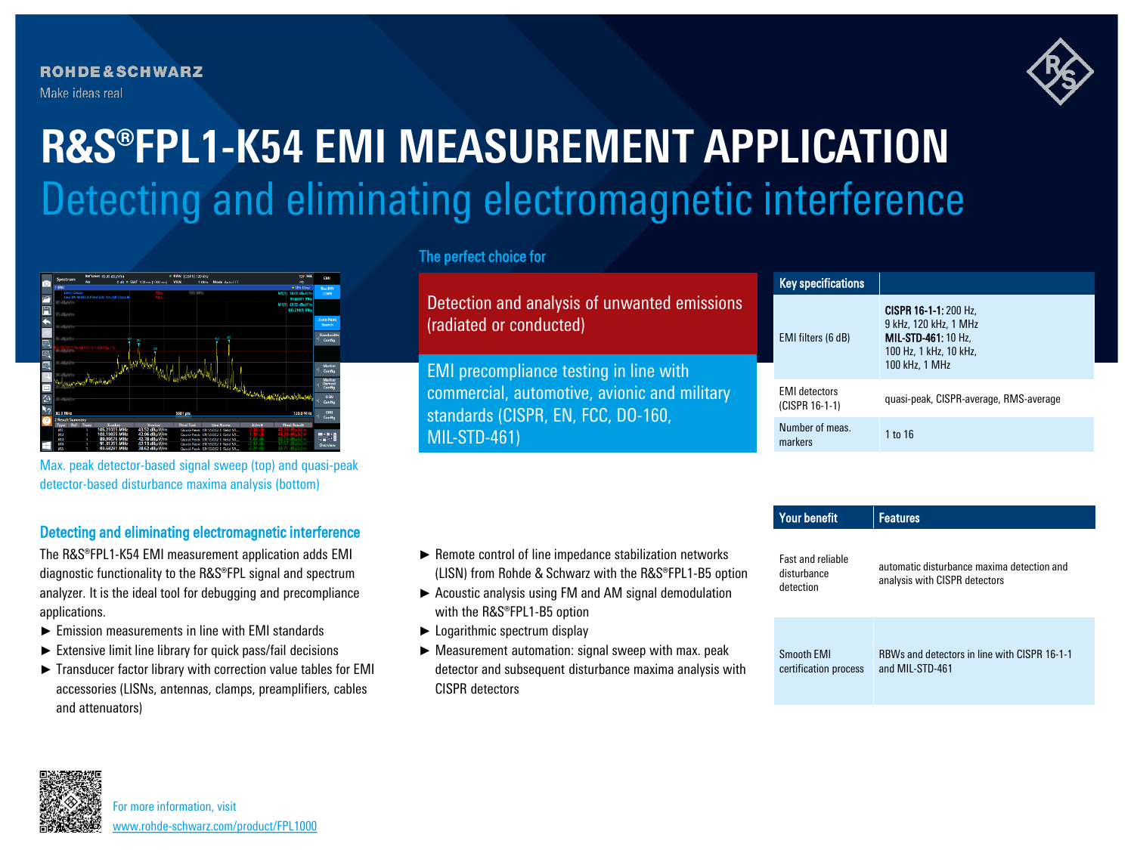**ROHDE&SCHWARZ** Make ideas real



# Detecting and eliminating electromagnetic interference **R&S®FPL1-K54 EMI MEASUREMENT APPLICATION**



Max. peak detector-based signal sweep (top) and quasi-peak detector-based disturbance maxima analysis (bottom)

## Detecting and eliminating electromagnetic interference

The R&S®FPL1-K54 EMI measurement application adds EMI diagnostic functionality to the R&S®FPL signal and spectrum analyzer. It is the ideal tool for debugging and precompliance applications.

- ► Emission measurements in line with EMI standards
- ► Extensive limit line library for quick pass/fail decisions
- ► Transducer factor library with correction value tables for EMI accessories (LISNs, antennas, clamps, preamplifiers, cables and attenuators)

#### The perfect choice for

Detection and analysis of unwanted emissions (radiated or conducted)

EMI precompliance testing in line with commercial, automotive, avionic and military standards (CISPR, EN, FCC, DO-160, MIL-STD-461)

|  | <b>Key specifications</b>              |                                                                                                                                 |
|--|----------------------------------------|---------------------------------------------------------------------------------------------------------------------------------|
|  | EMI filters (6 dB)                     | <b>CISPR 16-1-1:</b> 200 Hz.<br>9 kHz, 120 kHz, 1 MHz<br><b>MIL-STD-461: 10 Hz.</b><br>100 Hz, 1 kHz, 10 kHz,<br>100 kHz, 1 MHz |
|  | <b>FMI</b> detectors<br>(CISPR 16-1-1) | quasi-peak, CISPR-average, RMS-average                                                                                          |
|  | Number of meas.<br>markers             | 1 to 16                                                                                                                         |

### ► Remote control of line impedance stabilization networks (LISN) from Rohde & Schwarz with the R&S®FPL1-B5 option

- ► Acoustic analysis using FM and AM signal demodulation with the R&S®FPL1-B5 option
- ► Logarithmic spectrum display
- ► Measurement automation: signal sweep with max. peak detector and subsequent disturbance maxima analysis with CISPR detectors

| <b>Your benefit</b>                                  | <b>Features</b>                                                             |  |
|------------------------------------------------------|-----------------------------------------------------------------------------|--|
| <b>Fast and reliable</b><br>disturbance<br>detection | automatic disturbance maxima detection and<br>analysis with CISPR detectors |  |
| <b>Smooth EMI</b><br>certification process           | RBWs and detectors in line with CISPR 16-1-1<br>and MIL-STD-461             |  |